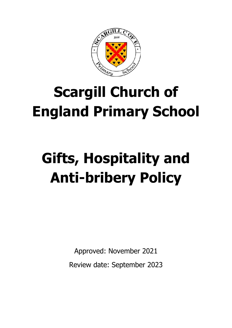

# **Scargill Church of England Primary School**

# **Gifts, Hospitality and Anti-bribery Policy**

Approved: November 2021

Review date: September 2023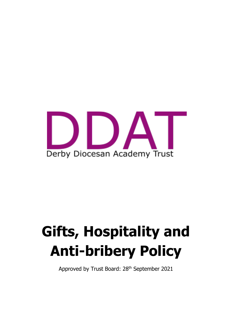

# **Gifts, Hospitality and Anti-bribery Policy**

Approved by Trust Board: 28<sup>th</sup> September 2021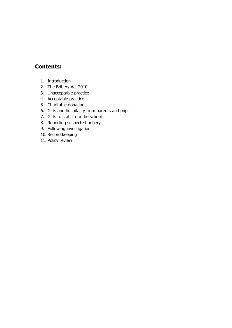#### **Contents:**

- 1. Introduction
- 2. The Bribery Act 2010
- 3. Unacceptable practice
- 4. Acceptable practice
- 5. Charitable donations
- 6. Gifts and hospitality from parents and pupils
- 7. Gifts to staff from the school
- 8. Reporting suspected bribery
- 9. Following investigation
- 10. Record keeping
- 11. Policy review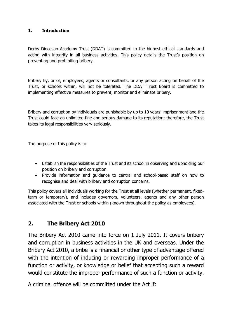#### **1. Introduction**

Derby Diocesan Academy Trust (DDAT) is committed to the highest ethical standards and acting with integrity in all business activities. This policy details the Trust's position on preventing and prohibiting bribery.

Bribery by, or of, employees, agents or consultants, or any person acting on behalf of the Trust, or schools within, will not be tolerated. The DDAT Trust Board is committed to implementing effective measures to prevent, monitor and eliminate bribery.

Bribery and corruption by individuals are punishable by up to 10 years' imprisonment and the Trust could face an unlimited fine and serious damage to its reputation; therefore, the Trust takes its legal responsibilities very seriously.

The purpose of this policy is to:

- Establish the responsibilities of the Trust and its school in observing and upholding our position on bribery and corruption.
- Provide information and guidance to central and school-based staff on how to recognise and deal with bribery and corruption concerns.

This policy covers all individuals working for the Trust at all levels (whether permanent, fixedterm or temporary), and includes governors, volunteers, agents and any other person associated with the Trust or schools within (known throughout the policy as employees).

#### **2. The Bribery Act 2010**

The Bribery Act 2010 came into force on 1 July 2011. It covers bribery and corruption in business activities in the UK and overseas. Under the Bribery Act 2010, a bribe is a financial or other type of advantage offered with the intention of inducing or rewarding improper performance of a function or activity, or knowledge or belief that accepting such a reward would constitute the improper performance of such a function or activity.

A criminal offence will be committed under the Act if: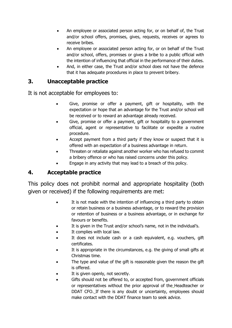- An employee or associated person acting for, or on behalf of, the Trust and/or school offers, promises, gives, requests, receives or agrees to receive bribes.
- An employee or associated person acting for, or on behalf of the Trust and/or school, offers, promises or gives a bribe to a public official with the intention of influencing that official in the performance of their duties.
- And, in either case, the Trust and/or school does not have the defence that it has adequate procedures in place to prevent bribery.

#### **3. Unacceptable practice**

It is not acceptable for employees to:

- Give, promise or offer a payment, gift or hospitality, with the expectation or hope that an advantage for the Trust and/or school will be received or to reward an advantage already received.
- Give, promise or offer a payment, gift or hospitality to a government official, agent or representative to facilitate or expedite a routine procedure.
- Accept payment from a third party if they know or suspect that it is offered with an expectation of a business advantage in return.
- Threaten or retaliate against another worker who has refused to commit a bribery offence or who has raised concerns under this policy.
- Engage in any activity that may lead to a breach of this policy.

#### **4. Acceptable practice**

This policy does not prohibit normal and appropriate hospitality (both given or received) if the following requirements are met:

- It is not made with the intention of influencing a third party to obtain or retain business or a business advantage, or to reward the provision or retention of business or a business advantage, or in exchange for favours or benefits.
- It is given in the Trust and/or school's name, not in the individual's.
- It complies with local law.
- It does not include cash or a cash equivalent, e.g. vouchers, gift certificates.
- It is appropriate in the circumstances, e.g. the giving of small gifts at Christmas time.
- The type and value of the gift is reasonable given the reason the gift is offered.
- It is given openly, not secretly.
- Gifts should not be offered to, or accepted from, government officials or representatives without the prior approval of the Headteacher or DDAT CFO. If there is any doubt or uncertainty, employees should make contact with the DDAT finance team to seek advice.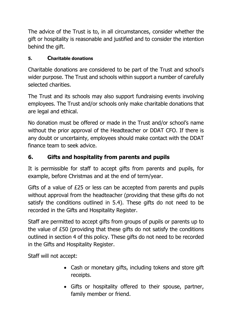The advice of the Trust is to, in all circumstances, consider whether the gift or hospitality is reasonable and justified and to consider the intention behind the gift.

### **5. Charitable donations**

Charitable donations are considered to be part of the Trust and school's wider purpose. The Trust and schools within support a number of carefully selected charities.

The Trust and its schools may also support fundraising events involving employees. The Trust and/or schools only make charitable donations that are legal and ethical.

No donation must be offered or made in the Trust and/or school's name without the prior approval of the Headteacher or DDAT CFO. If there is any doubt or uncertainty, employees should make contact with the DDAT finance team to seek advice.

# **6. Gifts and hospitality from parents and pupils**

It is permissible for staff to accept gifts from parents and pupils, for example, before Christmas and at the end of term/year.

Gifts of a value of £25 or less can be accepted from parents and pupils without approval from the headteacher (providing that these gifts do not satisfy the conditions outlined in 5.4). These gifts do not need to be recorded in the Gifts and Hospitality Register.

Staff are permitted to accept gifts from groups of pupils or parents up to the value of £50 (providing that these gifts do not satisfy the conditions outlined in section 4 of this policy. These gifts do not need to be recorded in the Gifts and Hospitality Register.

Staff will not accept:

- Cash or monetary gifts, including tokens and store gift receipts.
- Gifts or hospitality offered to their spouse, partner, family member or friend.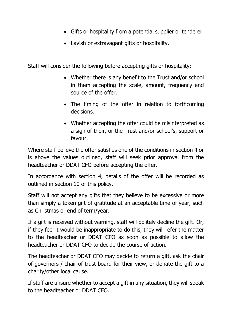- Gifts or hospitality from a potential supplier or tenderer.
- Lavish or extravagant gifts or hospitality.

Staff will consider the following before accepting gifts or hospitality:

- Whether there is any benefit to the Trust and/or school in them accepting the scale, amount, frequency and source of the offer.
- The timing of the offer in relation to forthcoming decisions.
- Whether accepting the offer could be misinterpreted as a sign of their, or the Trust and/or school's, support or favour.

Where staff believe the offer satisfies one of the conditions in section 4 or is above the values outlined, staff will seek prior approval from the headteacher or DDAT CFO before accepting the offer.

In accordance with section 4, details of the offer will be recorded as outlined in section 10 of this policy.

Staff will not accept any gifts that they believe to be excessive or more than simply a token gift of gratitude at an acceptable time of year, such as Christmas or end of term/year.

If a gift is received without warning, staff will politely decline the gift. Or, if they feel it would be inappropriate to do this, they will refer the matter to the headteacher or DDAT CFO as soon as possible to allow the headteacher or DDAT CFO to decide the course of action.

The headteacher or DDAT CFO may decide to return a gift, ask the chair of governors / chair of trust board for their view, or donate the gift to a charity/other local cause.

If staff are unsure whether to accept a gift in any situation, they will speak to the headteacher or DDAT CFO.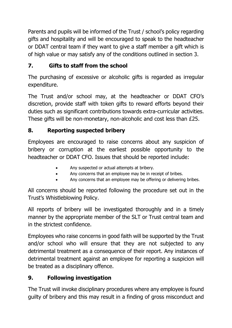Parents and pupils will be informed of the Trust / school's policy regarding gifts and hospitality and will be encouraged to speak to the headteacher or DDAT central team if they want to give a staff member a gift which is of high value or may satisfy any of the conditions outlined in section 3.

# **7. Gifts to staff from the school**

The purchasing of excessive or alcoholic gifts is regarded as irregular expenditure.

The Trust and/or school may, at the headteacher or DDAT CFO's discretion, provide staff with token gifts to reward efforts beyond their duties such as significant contributions towards extra-curricular activities. These gifts will be non-monetary, non-alcoholic and cost less than £25.

# **8. Reporting suspected bribery**

Employees are encouraged to raise concerns about any suspicion of bribery or corruption at the earliest possible opportunity to the headteacher or DDAT CFO. Issues that should be reported include:

- Any suspected or actual attempts at bribery.
- Any concerns that an employee may be in receipt of bribes.
- Any concerns that an employee may be offering or delivering bribes.

All concerns should be reported following the procedure set out in the Trust's Whistleblowing Policy.

All reports of bribery will be investigated thoroughly and in a timely manner by the appropriate member of the SLT or Trust central team and in the strictest confidence.

Employees who raise concerns in good faith will be supported by the Trust and/or school who will ensure that they are not subjected to any detrimental treatment as a consequence of their report. Any instances of detrimental treatment against an employee for reporting a suspicion will be treated as a disciplinary offence.

# **9. Following investigation**

The Trust will invoke disciplinary procedures where any employee is found guilty of bribery and this may result in a finding of gross misconduct and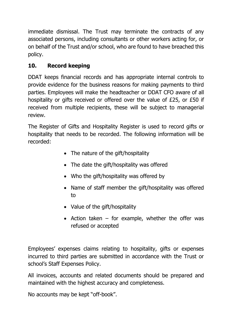immediate dismissal. The Trust may terminate the contracts of any associated persons, including consultants or other workers acting for, or on behalf of the Trust and/or school, who are found to have breached this policy.

# **10. Record keeping**

DDAT keeps financial records and has appropriate internal controls to provide evidence for the business reasons for making payments to third parties. Employees will make the headteacher or DDAT CFO aware of all hospitality or gifts received or offered over the value of £25, or £50 if received from multiple recipients, these will be subject to managerial review.

The Register of Gifts and Hospitality Register is used to record gifts or hospitality that needs to be recorded. The following information will be recorded:

- The nature of the gift/hospitality
- The date the gift/hospitality was offered
- Who the gift/hospitality was offered by
- Name of staff member the gift/hospitality was offered to
- Value of the gift/hospitality
- Action taken  $-$  for example, whether the offer was refused or accepted

Employees' expenses claims relating to hospitality, gifts or expenses incurred to third parties are submitted in accordance with the Trust or school's Staff Expenses Policy.

All invoices, accounts and related documents should be prepared and maintained with the highest accuracy and completeness.

No accounts may be kept "off-book".